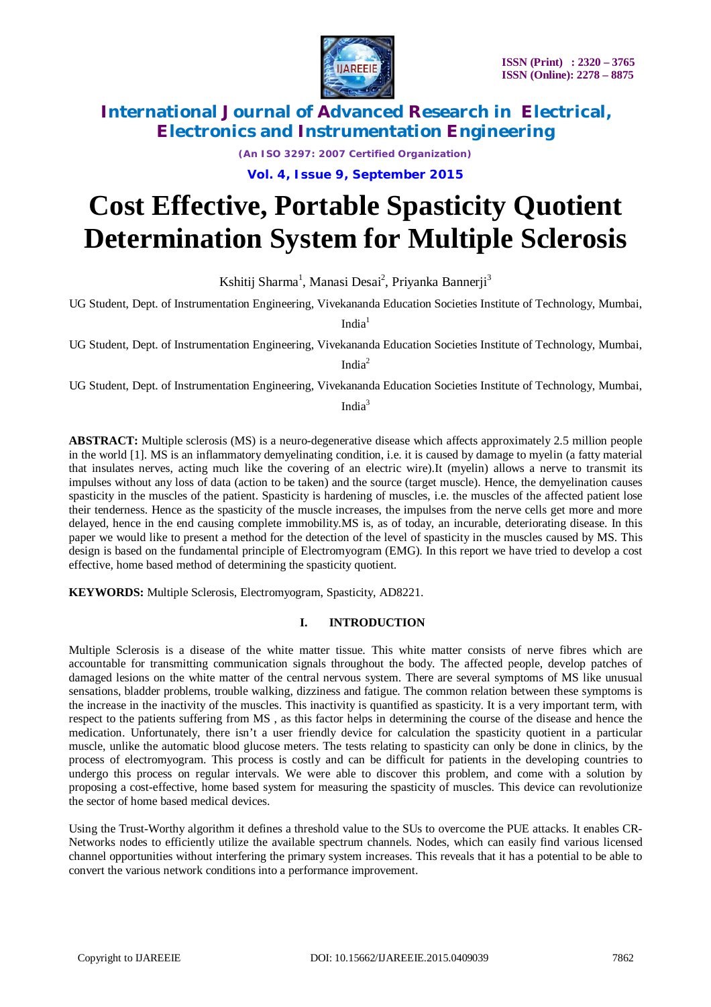

*(An ISO 3297: 2007 Certified Organization)*

**Vol. 4, Issue 9, September 2015**

# **Cost Effective, Portable Spasticity Quotient Determination System for Multiple Sclerosis**

Kshitij Sharma<sup>1</sup>, Manasi Desai<sup>2</sup>, Priyanka Bannerji<sup>3</sup>

UG Student, Dept. of Instrumentation Engineering, Vivekananda Education Societies Institute of Technology, Mumbai,

 $India<sup>1</sup>$ 

UG Student, Dept. of Instrumentation Engineering, Vivekananda Education Societies Institute of Technology, Mumbai,

India $2$ 

UG Student, Dept. of Instrumentation Engineering, Vivekananda Education Societies Institute of Technology, Mumbai,

Indi $a^3$ 

**ABSTRACT:** Multiple sclerosis (MS) is a neuro-degenerative disease which affects approximately 2.5 million people in the world [1]. MS is an inflammatory demyelinating condition, i.e. it is caused by damage to myelin (a fatty material that insulates nerves, acting much like the covering of an electric wire).It (myelin) allows a nerve to transmit its impulses without any loss of data (action to be taken) and the source (target muscle). Hence, the demyelination causes spasticity in the muscles of the patient. Spasticity is hardening of muscles, i.e. the muscles of the affected patient lose their tenderness. Hence as the spasticity of the muscle increases, the impulses from the nerve cells get more and more delayed, hence in the end causing complete immobility.MS is, as of today, an incurable, deteriorating disease. In this paper we would like to present a method for the detection of the level of spasticity in the muscles caused by MS. This design is based on the fundamental principle of Electromyogram (EMG). In this report we have tried to develop a cost effective, home based method of determining the spasticity quotient.

**KEYWORDS:** Multiple Sclerosis, Electromyogram, Spasticity, AD8221.

#### **I. INTRODUCTION**

Multiple Sclerosis is a disease of the white matter tissue. This white matter consists of nerve fibres which are accountable for transmitting communication signals throughout the body. The affected people, develop patches of damaged lesions on the white matter of the central nervous system. There are several symptoms of MS like unusual sensations, bladder problems, trouble walking, dizziness and fatigue. The common relation between these symptoms is the increase in the inactivity of the muscles. This inactivity is quantified as spasticity. It is a very important term, with respect to the patients suffering from MS , as this factor helps in determining the course of the disease and hence the medication. Unfortunately, there isn't a user friendly device for calculation the spasticity quotient in a particular muscle, unlike the automatic blood glucose meters. The tests relating to spasticity can only be done in clinics, by the process of electromyogram. This process is costly and can be difficult for patients in the developing countries to undergo this process on regular intervals. We were able to discover this problem, and come with a solution by proposing a cost-effective, home based system for measuring the spasticity of muscles. This device can revolutionize the sector of home based medical devices.

Using the Trust-Worthy algorithm it defines a threshold value to the SUs to overcome the PUE attacks. It enables CR-Networks nodes to efficiently utilize the available spectrum channels. Nodes, which can easily find various licensed channel opportunities without interfering the primary system increases. This reveals that it has a potential to be able to convert the various network conditions into a performance improvement.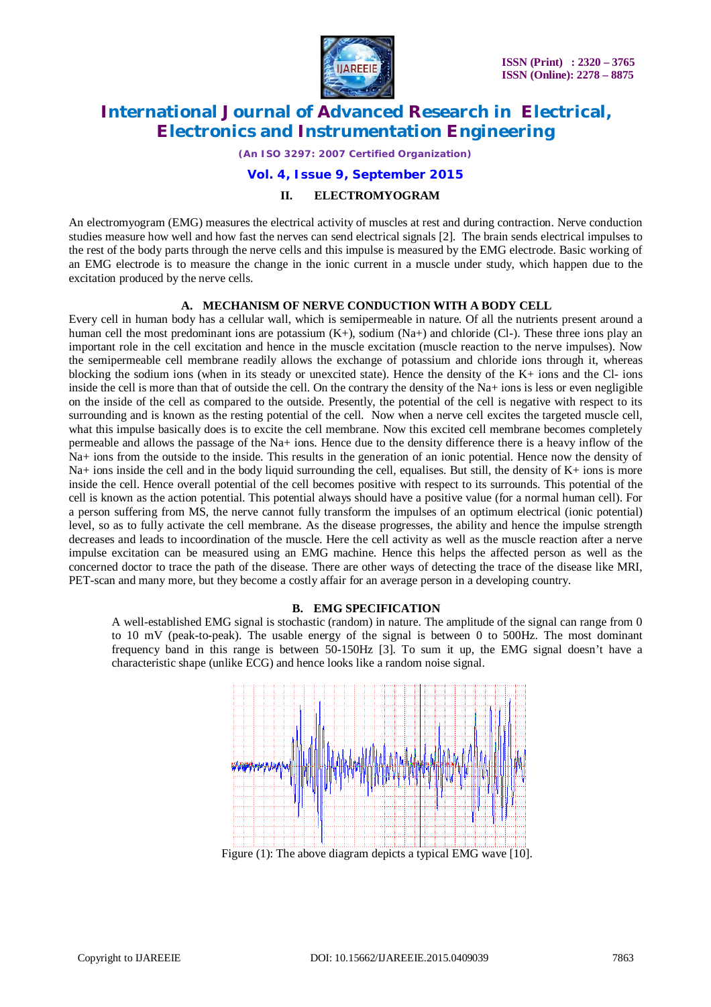

*(An ISO 3297: 2007 Certified Organization)*

#### **Vol. 4, Issue 9, September 2015**

#### **II. ELECTROMYOGRAM**

An electromyogram (EMG) measures the electrical activity of muscles at rest and during contraction. Nerve conduction studies measure how well and how fast the nerves can send electrical signals [2]. The brain sends electrical impulses to the rest of the body parts through the nerve cells and this impulse is measured by the EMG electrode. Basic working of an EMG electrode is to measure the change in the ionic current in a muscle under study, which happen due to the excitation produced by the nerve cells.

#### **A. MECHANISM OF NERVE CONDUCTION WITH A BODY CELL**

Every cell in human body has a cellular wall, which is semipermeable in nature. Of all the nutrients present around a human cell the most predominant ions are potassium  $(K+)$ , sodium  $(Na+)$  and chloride (Cl-). These three ions play an important role in the cell excitation and hence in the muscle excitation (muscle reaction to the nerve impulses). Now the semipermeable cell membrane readily allows the exchange of potassium and chloride ions through it, whereas blocking the sodium ions (when in its steady or unexcited state). Hence the density of the K+ ions and the Cl- ions inside the cell is more than that of outside the cell. On the contrary the density of the Na+ ions is less or even negligible on the inside of the cell as compared to the outside. Presently, the potential of the cell is negative with respect to its surrounding and is known as the resting potential of the cell. Now when a nerve cell excites the targeted muscle cell, what this impulse basically does is to excite the cell membrane. Now this excited cell membrane becomes completely permeable and allows the passage of the Na+ ions. Hence due to the density difference there is a heavy inflow of the Na+ ions from the outside to the inside. This results in the generation of an ionic potential. Hence now the density of Na+ ions inside the cell and in the body liquid surrounding the cell, equalises. But still, the density of K+ ions is more inside the cell. Hence overall potential of the cell becomes positive with respect to its surrounds. This potential of the cell is known as the action potential. This potential always should have a positive value (for a normal human cell). For a person suffering from MS, the nerve cannot fully transform the impulses of an optimum electrical (ionic potential) level, so as to fully activate the cell membrane. As the disease progresses, the ability and hence the impulse strength decreases and leads to incoordination of the muscle. Here the cell activity as well as the muscle reaction after a nerve impulse excitation can be measured using an EMG machine. Hence this helps the affected person as well as the concerned doctor to trace the path of the disease. There are other ways of detecting the trace of the disease like MRI, PET-scan and many more, but they become a costly affair for an average person in a developing country.

#### **B. EMG SPECIFICATION**

A well-established EMG signal is stochastic (random) in nature. The amplitude of the signal can range from 0 to 10 mV (peak-to-peak). The usable energy of the signal is between 0 to 500Hz. The most dominant frequency band in this range is between 50-150Hz [3]. To sum it up, the EMG signal doesn't have a characteristic shape (unlike ECG) and hence looks like a random noise signal.

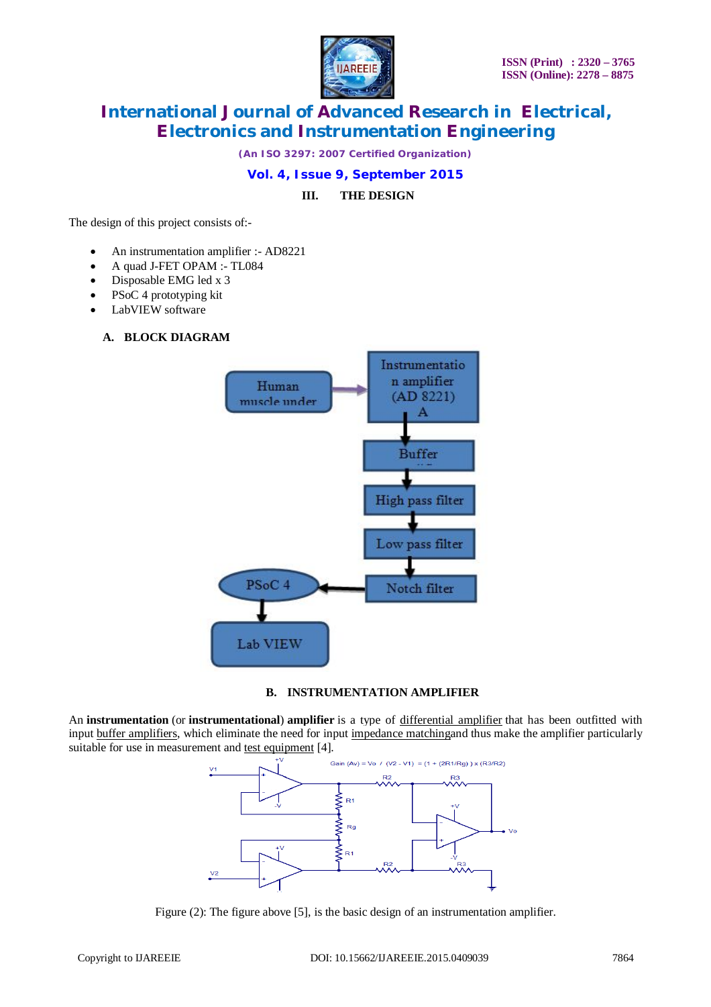

*(An ISO 3297: 2007 Certified Organization)*

### **Vol. 4, Issue 9, September 2015**

**III. THE DESIGN**

The design of this project consists of:-

- An instrumentation amplifier :- AD8221
- A quad J-FET OPAM :- TL084
- Disposable EMG led x 3
- PSoC 4 prototyping kit
- LabVIEW software

### **A. BLOCK DIAGRAM**



#### **B. INSTRUMENTATION AMPLIFIER**

An **instrumentation** (or **instrumentational**) **amplifier** is a type of differential amplifier that has been outfitted with input buffer amplifiers, which eliminate the need for input impedance matchingand thus make the amplifier particularly suitable for use in measurement and test equipment [4].



Figure (2): The figure above [5], is the basic design of an instrumentation amplifier.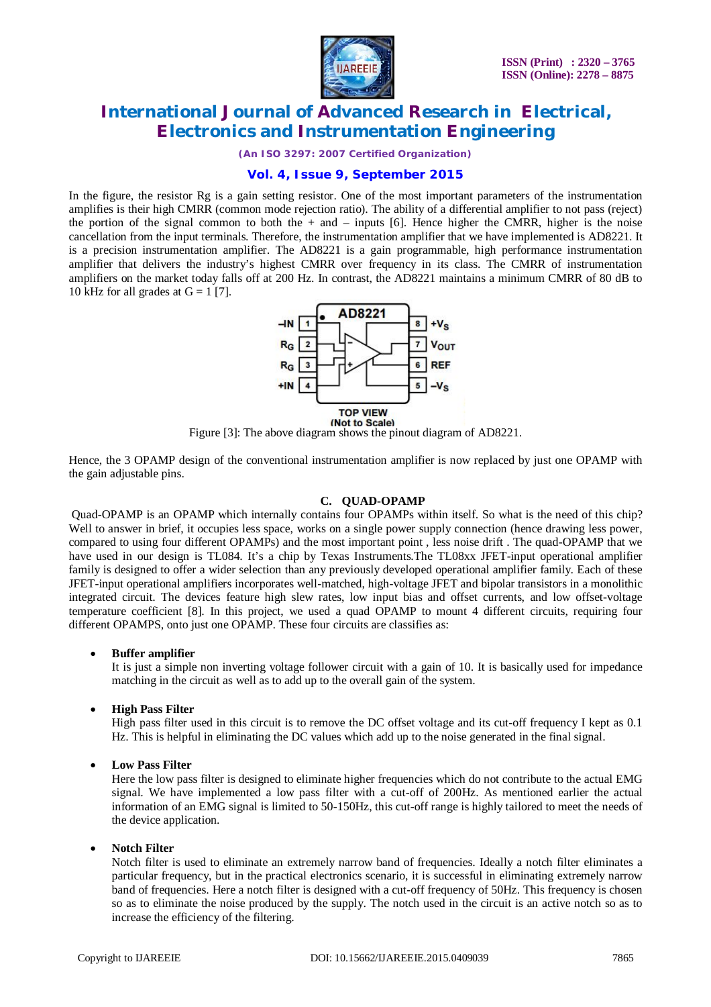

*(An ISO 3297: 2007 Certified Organization)*

### **Vol. 4, Issue 9, September 2015**

In the figure, the resistor Rg is a gain setting resistor. One of the most important parameters of the instrumentation amplifies is their high CMRR (common mode rejection ratio). The ability of a differential amplifier to not pass (reject) the portion of the signal common to both the  $+$  and  $-$  inputs [6]. Hence higher the CMRR, higher is the noise cancellation from the input terminals. Therefore, the instrumentation amplifier that we have implemented is AD8221. It is a precision instrumentation amplifier. The AD8221 is a gain programmable, high performance instrumentation amplifier that delivers the industry's highest CMRR over frequency in its class. The CMRR of instrumentation amplifiers on the market today falls off at 200 Hz. In contrast, the AD8221 maintains a minimum CMRR of 80 dB to 10 kHz for all grades at  $G = 1$  [7].



Figure [3]: The above diagram shows the pinout diagram of AD8221.

Hence, the 3 OPAMP design of the conventional instrumentation amplifier is now replaced by just one OPAMP with the gain adjustable pins.

#### **C. QUAD-OPAMP**

Quad-OPAMP is an OPAMP which internally contains four OPAMPs within itself. So what is the need of this chip? Well to answer in brief, it occupies less space, works on a single power supply connection (hence drawing less power, compared to using four different OPAMPs) and the most important point , less noise drift . The quad-OPAMP that we have used in our design is TL084. It's a chip by Texas Instruments.The TL08xx JFET-input operational amplifier family is designed to offer a wider selection than any previously developed operational amplifier family. Each of these JFET-input operational amplifiers incorporates well-matched, high-voltage JFET and bipolar transistors in a monolithic integrated circuit. The devices feature high slew rates, low input bias and offset currents, and low offset-voltage temperature coefficient [8]. In this project, we used a quad OPAMP to mount 4 different circuits, requiring four different OPAMPS, onto just one OPAMP. These four circuits are classifies as:

#### **Buffer amplifier**

It is just a simple non inverting voltage follower circuit with a gain of 10. It is basically used for impedance matching in the circuit as well as to add up to the overall gain of the system.

#### **High Pass Filter**

High pass filter used in this circuit is to remove the DC offset voltage and its cut-off frequency I kept as 0.1 Hz. This is helpful in eliminating the DC values which add up to the noise generated in the final signal.

#### **Low Pass Filter**

Here the low pass filter is designed to eliminate higher frequencies which do not contribute to the actual EMG signal. We have implemented a low pass filter with a cut-off of 200Hz. As mentioned earlier the actual information of an EMG signal is limited to 50-150Hz, this cut-off range is highly tailored to meet the needs of the device application.

#### **Notch Filter**

Notch filter is used to eliminate an extremely narrow band of frequencies. Ideally a notch filter eliminates a particular frequency, but in the practical electronics scenario, it is successful in eliminating extremely narrow band of frequencies. Here a notch filter is designed with a cut-off frequency of 50Hz. This frequency is chosen so as to eliminate the noise produced by the supply. The notch used in the circuit is an active notch so as to increase the efficiency of the filtering.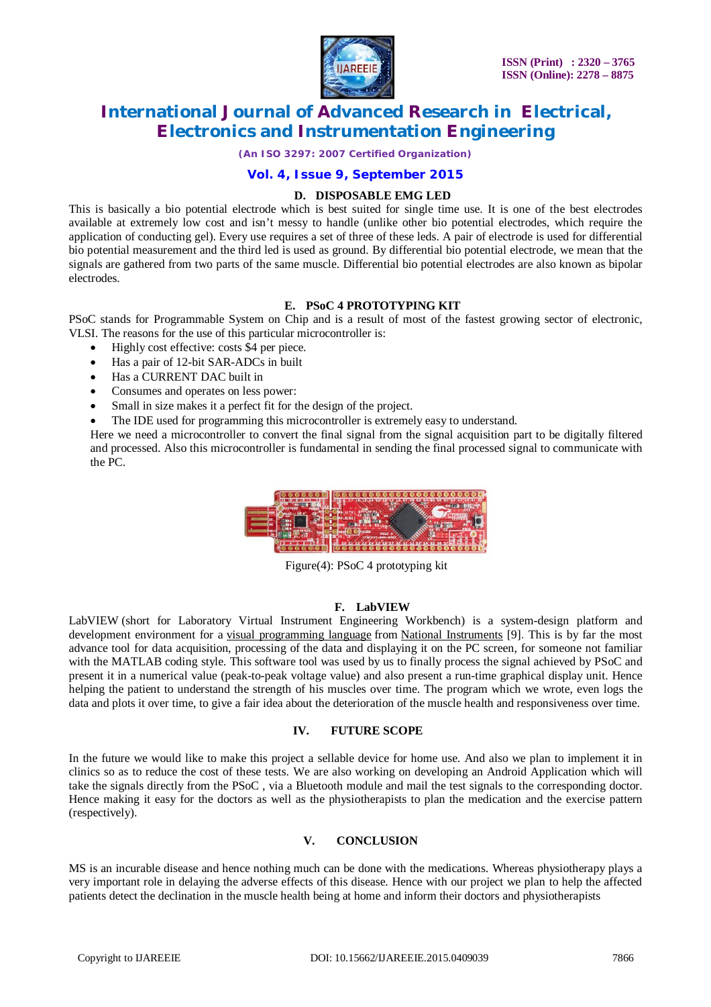

*(An ISO 3297: 2007 Certified Organization)*

#### **Vol. 4, Issue 9, September 2015**

#### **D. DISPOSABLE EMG LED**

This is basically a bio potential electrode which is best suited for single time use. It is one of the best electrodes available at extremely low cost and isn't messy to handle (unlike other bio potential electrodes, which require the application of conducting gel). Every use requires a set of three of these leds. A pair of electrode is used for differential bio potential measurement and the third led is used as ground. By differential bio potential electrode, we mean that the signals are gathered from two parts of the same muscle. Differential bio potential electrodes are also known as bipolar electrodes.

#### **E. PSoC 4 PROTOTYPING KIT**

PSoC stands for Programmable System on Chip and is a result of most of the fastest growing sector of electronic, VLSI. The reasons for the use of this particular microcontroller is:

- Highly cost effective: costs \$4 per piece.
- Has a pair of 12-bit SAR-ADCs in built
- Has a CURRENT DAC built in
- Consumes and operates on less power:
- Small in size makes it a perfect fit for the design of the project.
- The IDE used for programming this microcontroller is extremely easy to understand.

Here we need a microcontroller to convert the final signal from the signal acquisition part to be digitally filtered and processed. Also this microcontroller is fundamental in sending the final processed signal to communicate with the PC.



Figure(4): PSoC 4 prototyping kit

#### **F. LabVIEW**

LabVIEW (short for Laboratory Virtual Instrument Engineering Workbench) is a system-design platform and development environment for a visual programming language from National Instruments [9]. This is by far the most advance tool for data acquisition, processing of the data and displaying it on the PC screen, for someone not familiar with the MATLAB coding style. This software tool was used by us to finally process the signal achieved by PSoC and present it in a numerical value (peak-to-peak voltage value) and also present a run-time graphical display unit. Hence helping the patient to understand the strength of his muscles over time. The program which we wrote, even logs the data and plots it over time, to give a fair idea about the deterioration of the muscle health and responsiveness over time.

#### **IV. FUTURE SCOPE**

In the future we would like to make this project a sellable device for home use. And also we plan to implement it in clinics so as to reduce the cost of these tests. We are also working on developing an Android Application which will take the signals directly from the PSoC , via a Bluetooth module and mail the test signals to the corresponding doctor. Hence making it easy for the doctors as well as the physiotherapists to plan the medication and the exercise pattern (respectively).

#### **V. CONCLUSION**

MS is an incurable disease and hence nothing much can be done with the medications. Whereas physiotherapy plays a very important role in delaying the adverse effects of this disease. Hence with our project we plan to help the affected patients detect the declination in the muscle health being at home and inform their doctors and physiotherapists